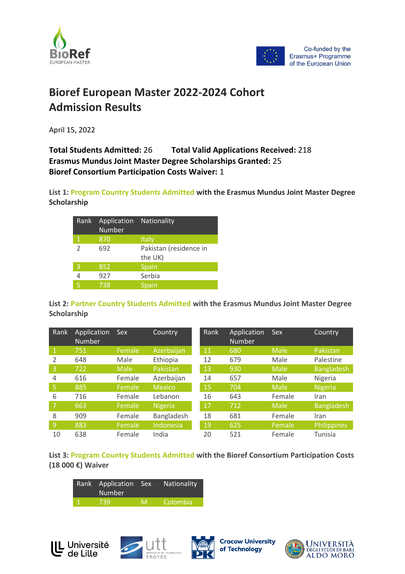



## **Bioref European Master 2022-2024 Cohort Admission Results**

April 15, 2022

## **Total Students Admitted:** 26 **Total Valid Applications Received:** 218 **Erasmus Mundus Joint Master Degree Scholarships Granted:** 25 **Bioref Consortium Participation Costs Waiver:** 1

**List 1: Program Country Students Admitted with the Erasmus Mundus Joint Master Degree Scholarship**

| Rank                     | Application<br>Number | <b>Nationality</b>                |
|--------------------------|-----------------------|-----------------------------------|
| 1                        | 870                   | Italy                             |
| $\overline{\phantom{a}}$ | 692                   | Pakistan (residence in<br>the UK) |
| 3                        | 852                   | Spain                             |
|                          | 927                   | Serbia                            |
| l5                       | 738                   | Spain                             |

**List 2: Partner Country Students Admitted with the Erasmus Mundus Joint Master Degree Scholarship**

| Rank         | Application<br><b>Number</b> | <b>Sex</b>  | Country        | Rank | Application<br><b>Number</b> | <b>Sex</b>  | Country           |
|--------------|------------------------------|-------------|----------------|------|------------------------------|-------------|-------------------|
| $\mathbf{1}$ | 751                          | Female      | Azerbaijan     | 11   | 680                          | Male        | Pakistan          |
|              | 648                          | Male        | Ethiopia       | 12   | 679                          | Male        | Palestine         |
| 3            | 722                          | <b>Male</b> | Pakistan       | 13   | 930                          | <b>Male</b> | <b>Bangladesh</b> |
| 4            | 616                          | Female      | Azerbaijan     | 14   | 657                          | Male        | Nigeria           |
| 5            | 885                          | Female      | <b>Mexico</b>  | 15   | 704                          | Male        | <b>Nigeria</b>    |
| 6            | 716                          | Female      | Lebanon        | 16   | 643                          | Female      | Iran              |
| 7            | 663                          | Female      | <b>Nigeria</b> | 17   | 712                          | Male        | <b>Bangladesh</b> |
| 8            | 909                          | Female      | Bangladesh     | 18   | 681                          | Female      | Iran              |
| 9            | 883                          | Female      | Indonesia      | 19   | 625                          | Female      | Philippines       |
| 10           | 638                          | Female      | India          | 20   | 521                          | Female      | Tunisia           |

**List 3: Program Country Students Admitted with the Bioref Consortium Participation Costs (18 000 €) Waiver**

| Rank Application Sex<br><b>Number</b> |    | Nationality |
|---------------------------------------|----|-------------|
| 7391                                  | 'M | Colombia.   |